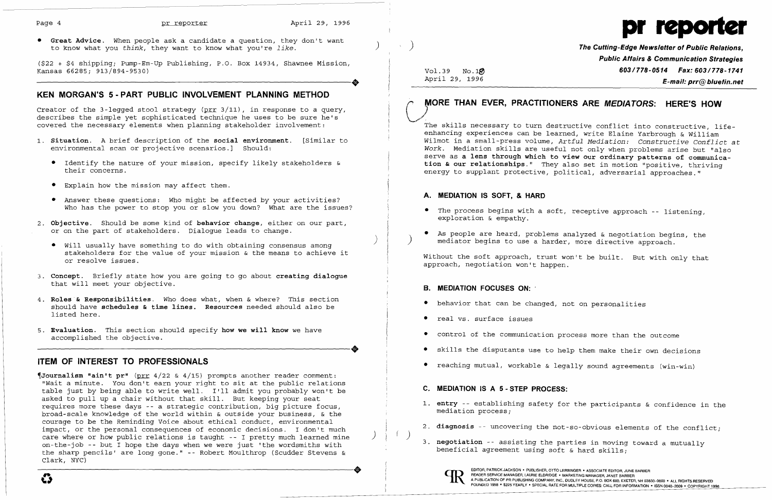

• Great Advice. When people ask a candidate a question, they don't want to know what you *think,* they want to know what you're *like.* ) ) The Cutting-Edge Newsletter of Public Relations,

(\$22 + \$4 shipping; Pump-Ern-Up Publishing, P.O. Box 14934, Shawnee Mission, ----------------------+ Kansas 66285; 913/B94-9530)

# KEN MORGAN'S 5 - PART PUBLIC INVOLVEMENT PLANNING METHOD

Creator of the 3-legged stool strategy (prr 3/11), in response to a query, describes the simple yet sophisticated technique he uses to be sure he's covered the necessary elements when planning stakeholder involvement:

- 1. Situation. A brief description of the social environment. [Similar to environmental scan or projective scenarios.] Should:
	- • Identify the nature of your mission, specify likely stakeholders & their concerns.
	- Explain how the mission may affect them.
	- • Answer these questions: Who might be affected by your activities? Who has the power to stop you or slow you down? What are the issues?
- 2. Objective. Should be some kind of behavior change, either on our part, or on the part of stakeholders. Dialogue leads to change.
	- • will usually have something to do with obtaining consensus among stakeholders for the value of your mission & the means to achieve it or resolve issues.
- 3. Concept. Briefly state how you are going to go about creating dialogue that will meet your objective.
- 4. Roles & Responsibilities. Who does what, when & where? This section should have schedules & time lines. Resources needed should also be listed here.
- 5. Evaluation. This section should specify how we will know we have ---------------------+ accomplished the objective.

)

 $\text{Journalign}$  **"ain't pr"** (prr 4/22 & 4/15) prompts another reader comment: "Wait a minute. You don't earn your right to sit at the public relations table just by being able to write well. I'll admit you probably won't be asked to pull up a chair without that skill. But keeping your seat requires more these days -- a strategic contribution, big picture focus, broad-scale knowledge of the world within & outside your business, & the courage to be the Reminding Voice about ethical conduct, environmental impact, or the personal consequences of economic decisions. I don't much care where or how public relations is taught -- I pretty much learned mine on-the-job -- but I hope the days when we were just 'the wordsmiths with the sharp pencils' are long gone." -- Robert Moulthrop (Scudder Stevens & Clark, NYC) Clark, NYC)

Public Affairs & Communication Strategies Vol.39 No.1 $\emptyset$ <br>April 29, 1996  $E$ -mail: prr $@$  bluefin.net

2. diagnosis -- uncovering the not-so-obvious elements of the conflict;

# ITEM OF INTEREST TO PROFESSIONALS

- 1. entry -- establishing safety for the participants & confidence in the mediation process;
- 
- 3. negotiation -- assisting the parties in moving toward a mutually beneficial agreement using soft & hard skills;



# *r* MORE THAN EVER, PRACTITIONERS ARE MEDIATORS: HERE'S HOW '0,)

The skills necessary to turn destructive conflict into constructive, lifeenhancing experiences can be learned, write Elaine Yarbrough & William Wilmot in a small-press volume, *Artful Mediation: Constructive Conflict* at *Work.* Mediation skills are useful not only when problems arise but "also serve as a lens through which to view our ordinary patterns of communication & our relationships." They also set in motion "positive, thriving energy to supplant protective, political, adversarial approaches."

### A. MEDIATION IS SOFT, & HARD

- • The process begins with a soft, receptive approach -- listening, exploration & empathy.
- As people are heard, problems analyzed & negotiation begins, the ) mediator begins to use a harder, more directive approach.

Without the soft approach, trust won't be built. But with only that approach, negotiation won't happen.

### B. MEDIATION FOCUSES ON:

- • behavior that can be changed, not on personalities
- real vs. surface issues
- control of the communication process more than the outcome
- skills the disputants use to help them make their own decisions
- • reaching mutual, workable & legally sound agreements (win-win)

## C. MEDIATION IS A 5 - STEP PROCESS:

)

EDITOR, PATRICK JACKSON · PUBLISHER, OTTO LERBINGER · ASSOCIATE EDITOR, JUNE BARBER READER SERVICE MANAGER, LAURIE ELDRIDGE . MARKETING MANAGER, JANET BARBER